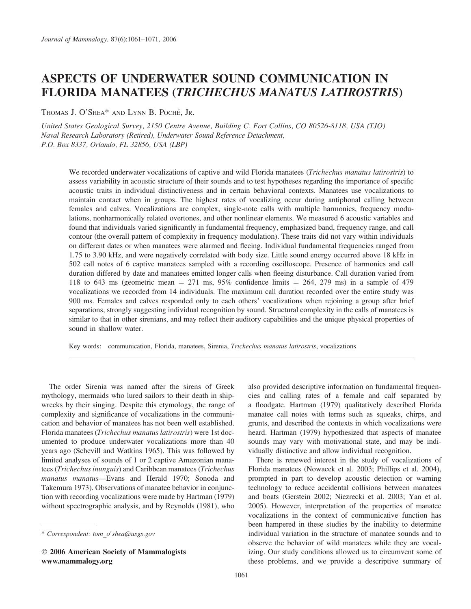# ASPECTS OF UNDERWATER SOUND COMMUNICATION IN FLORIDA MANATEES (TRICHECHUS MANATUS LATIROSTRIS)

THOMAS J. O'SHEA\* AND LYNN B. POCHÉ, JR.

United States Geological Survey, 2150 Centre Avenue, Building C, Fort Collins, CO 80526-8118, USA (TJO) Naval Research Laboratory (Retired), Underwater Sound Reference Detachment, P.O. Box 8337, Orlando, FL 32856, USA (LBP)

We recorded underwater vocalizations of captive and wild Florida manatees (Trichechus manatus latirostris) to assess variability in acoustic structure of their sounds and to test hypotheses regarding the importance of specific acoustic traits in individual distinctiveness and in certain behavioral contexts. Manatees use vocalizations to maintain contact when in groups. The highest rates of vocalizing occur during antiphonal calling between females and calves. Vocalizations are complex, single-note calls with multiple harmonics, frequency modulations, nonharmonically related overtones, and other nonlinear elements. We measured 6 acoustic variables and found that individuals varied significantly in fundamental frequency, emphasized band, frequency range, and call contour (the overall pattern of complexity in frequency modulation). These traits did not vary within individuals on different dates or when manatees were alarmed and fleeing. Individual fundamental frequencies ranged from 1.75 to 3.90 kHz, and were negatively correlated with body size. Little sound energy occurred above 18 kHz in 502 call notes of 6 captive manatees sampled with a recording oscilloscope. Presence of harmonics and call duration differed by date and manatees emitted longer calls when fleeing disturbance. Call duration varied from 118 to 643 ms (geometric mean  $= 271$  ms, 95% confidence limits  $= 264$ , 279 ms) in a sample of 479 vocalizations we recorded from 14 individuals. The maximum call duration recorded over the entire study was 900 ms. Females and calves responded only to each others' vocalizations when rejoining a group after brief separations, strongly suggesting individual recognition by sound. Structural complexity in the calls of manatees is similar to that in other sirenians, and may reflect their auditory capabilities and the unique physical properties of sound in shallow water.

Key words: communication, Florida, manatees, Sirenia, Trichechus manatus latirostris, vocalizations

The order Sirenia was named after the sirens of Greek mythology, mermaids who lured sailors to their death in shipwrecks by their singing. Despite this etymology, the range of complexity and significance of vocalizations in the communication and behavior of manatees has not been well established. Florida manatees (Trichechus manatus latirostris) were 1st documented to produce underwater vocalizations more than 40 years ago (Schevill and Watkins 1965). This was followed by limited analyses of sounds of 1 or 2 captive Amazonian manatees (Trichechus inunguis) and Caribbean manatees (Trichechus manatus manatus—Evans and Herald 1970; Sonoda and Takemura 1973). Observations of manatee behavior in conjunction with recording vocalizations were made by Hartman (1979) without spectrographic analysis, and by Reynolds (1981), who

\* Correspondent: tom\_o'shea@usgs.gov

 2006 American Society of Mammalogists www.mammalogy.org

also provided descriptive information on fundamental frequencies and calling rates of a female and calf separated by a floodgate. Hartman (1979) qualitatively described Florida manatee call notes with terms such as squeaks, chirps, and grunts, and described the contexts in which vocalizations were heard. Hartman (1979) hypothesized that aspects of manatee sounds may vary with motivational state, and may be individually distinctive and allow individual recognition.

There is renewed interest in the study of vocalizations of Florida manatees (Nowacek et al. 2003; Phillips et al. 2004), prompted in part to develop acoustic detection or warning technology to reduce accidental collisions between manatees and boats (Gerstein 2002; Niezrecki et al. 2003; Yan et al. 2005). However, interpretation of the properties of manatee vocalizations in the context of communicative function has been hampered in these studies by the inability to determine individual variation in the structure of manatee sounds and to observe the behavior of wild manatees while they are vocalizing. Our study conditions allowed us to circumvent some of these problems, and we provide a descriptive summary of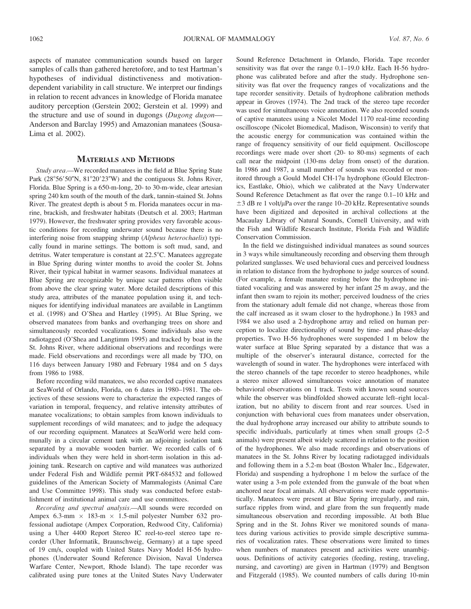aspects of manatee communication sounds based on larger samples of calls than gathered heretofore, and to test Hartman's hypotheses of individual distinctiveness and motivationdependent variability in call structure. We interpret our findings in relation to recent advances in knowledge of Florida manatee auditory perception (Gerstein 2002; Gerstein et al. 1999) and the structure and use of sound in dugongs  $(Dugong dugon$ — Anderson and Barclay 1995) and Amazonian manatees (Sousa-Lima et al. 2002).

## MATERIALS AND METHODS

Study area.—We recorded manatees in the field at Blue Spring State Park  $(28°56'50''N, 81°20'23''W)$  and the contiguous St. Johns River, Florida. Blue Spring is a 650-m-long, 20- to 30-m-wide, clear artesian spring 240 km south of the mouth of the dark, tannin-stained St. Johns River. The greatest depth is about 5 m. Florida manatees occur in marine, brackish, and freshwater habitats (Deutsch et al. 2003; Hartman 1979). However, the freshwater spring provides very favorable acoustic conditions for recording underwater sound because there is no interfering noise from snapping shrimp (Alpheus heterochaelis) typically found in marine settings. The bottom is soft mud, sand, and detritus. Water temperature is constant at  $22.5^{\circ}$ C. Manatees aggregate in Blue Spring during winter months to avoid the cooler St. Johns River, their typical habitat in warmer seasons. Individual manatees at Blue Spring are recognizable by unique scar patterns often visible from above the clear spring water. More detailed descriptions of this study area, attributes of the manatee population using it, and techniques for identifying individual manatees are available in Langtimm et al. (1998) and O'Shea and Hartley (1995). At Blue Spring, we observed manatees from banks and overhanging trees on shore and simultaneously recorded vocalizations. Some individuals also were radiotagged (O'Shea and Langtimm 1995) and tracked by boat in the St. Johns River, where additional observations and recordings were made. Field observations and recordings were all made by TJO, on 116 days between January 1980 and February 1984 and on 5 days from 1986 to 1988.

Before recording wild manatees, we also recorded captive manatees at SeaWorld of Orlando, Florida, on 6 dates in 1980–1981. The objectives of these sessions were to characterize the expected ranges of variation in temporal, frequency, and relative intensity attributes of manatee vocalizations; to obtain samples from known individuals to supplement recordings of wild manatees; and to judge the adequacy of our recording equipment. Manatees at SeaWorld were held communally in a circular cement tank with an adjoining isolation tank separated by a movable wooden barrier. We recorded calls of 6 individuals when they were held in short-term isolation in this adjoining tank. Research on captive and wild manatees was authorized under Federal Fish and Wildlife permit PRT-684532 and followed guidelines of the American Society of Mammalogists (Animal Care and Use Committee 1998). This study was conducted before establishment of institutional animal care and use committees.

Recording and spectral analysis.—All sounds were recorded on Ampex 6.3-mm  $\times$  183-m  $\times$  1.5-mil polyester Number 632 professional audiotape (Ampex Corporation, Redwood City, California) using a Uher 4400 Report Stereo IC reel-to-reel stereo tape recorder (Uher Informatik, Braunschweig, Germany) at a tape speed of 19 cm/s, coupled with United States Navy Model H-56 hydrophones (Underwater Sound Reference Division, Naval Undersea Warfare Center, Newport, Rhode Island). The tape recorder was calibrated using pure tones at the United States Navy Underwater Sound Reference Detachment in Orlando, Florida. Tape recorder sensitivity was flat over the range 0.1–19.0 kHz. Each H-56 hydrophone was calibrated before and after the study. Hydrophone sensitivity was flat over the frequency ranges of vocalizations and the tape recorder sensitivity. Details of hydrophone calibration methods appear in Groves (1974). The 2nd track of the stereo tape recorder was used for simultaneous voice annotation. We also recorded sounds of captive manatees using a Nicolet Model 1170 real-time recording oscilloscope (Nicolet Biomedical, Madison, Wisconsin) to verify that the acoustic energy for communication was contained within the range of frequency sensitivity of our field equipment. Oscilloscope recordings were made over short (20- to 80-ms) segments of each call near the midpoint (130-ms delay from onset) of the duration. In 1986 and 1987, a small number of sounds was recorded or monitored through a Gould Model CH-17u hydrophone (Gould Electronics, Eastlake, Ohio), which we calibrated at the Navy Underwater Sound Reference Detachment as flat over the range 0.1–10 kHz and  $\pm$ 3 dB re 1 volt/µPa over the range 10–20 kHz. Representative sounds have been digitized and deposited in archival collections at the Macaulay Library of Natural Sounds, Cornell University, and with the Fish and Wildlife Research Institute, Florida Fish and Wildlife Conservation Commission.

In the field we distinguished individual manatees as sound sources in 3 ways while simultaneously recording and observing them through polarized sunglasses. We used behavioral cues and perceived loudness in relation to distance from the hydrophone to judge sources of sound. (For example, a female manatee resting below the hydrophone initiated vocalizing and was answered by her infant 25 m away, and the infant then swam to rejoin its mother; perceived loudness of the cries from the stationary adult female did not change, whereas those from the calf increased as it swam closer to the hydrophone.) In 1983 and 1984 we also used a 2-hydrophone array and relied on human perception to localize directionality of sound by time- and phase-delay properties. Two H-56 hydrophones were suspended 1 m below the water surface at Blue Spring separated by a distance that was a multiple of the observer's interaural distance, corrected for the wavelength of sound in water. The hydrophones were interfaced with the stereo channels of the tape recorder to stereo headphones, while a stereo mixer allowed simultaneous voice annotation of manatee behavioral observations on 1 track. Tests with known sound sources while the observer was blindfolded showed accurate left–right localization, but no ability to discern front and rear sources. Used in conjunction with behavioral cues from manatees under observation, the dual hydrophone array increased our ability to attribute sounds to specific individuals, particularly at times when small groups (2–5 animals) were present albeit widely scattered in relation to the position of the hydrophones. We also made recordings and observations of manatees in the St. Johns River by locating radiotagged individuals and following them in a 5.2-m boat (Boston Whaler Inc., Edgewater, Florida) and suspending a hydrophone 1 m below the surface of the water using a 3-m pole extended from the gunwale of the boat when anchored near focal animals. All observations were made opportunistically. Manatees were present at Blue Spring irregularly, and rain, surface ripples from wind, and glare from the sun frequently made simultaneous observation and recording impossible. At both Blue Spring and in the St. Johns River we monitored sounds of manatees during various activities to provide simple descriptive summaries of vocalization rates. These observations were limited to times when numbers of manatees present and activities were unambiguous. Definitions of activity categories (feeding, resting, traveling, nursing, and cavorting) are given in Hartman (1979) and Bengtson and Fitzgerald (1985). We counted numbers of calls during 10-min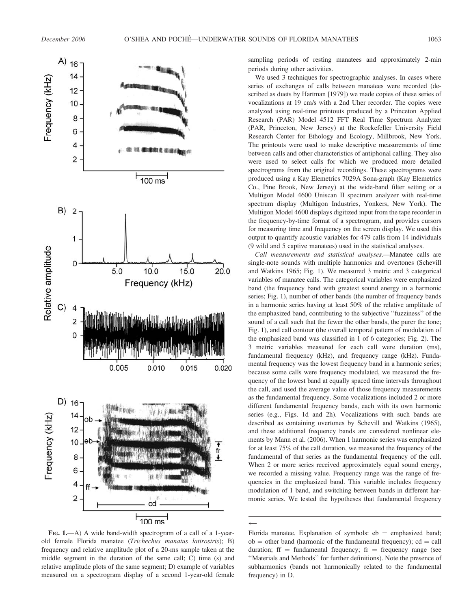

FIG. 1.—A) A wide band-width spectrogram of a call of a 1-yearold female Florida manatee (Trichechus manatus latirostris); B) frequency and relative amplitude plot of a 20-ms sample taken at the middle segment in the duration of the same call; C) time (s) and relative amplitude plots of the same segment; D) example of variables measured on a spectrogram display of a second 1-year-old female

sampling periods of resting manatees and approximately 2-min periods during other activities.

We used 3 techniques for spectrographic analyses. In cases where series of exchanges of calls between manatees were recorded (described as duets by Hartman [1979]) we made copies of these series of vocalizations at 19 cm/s with a 2nd Uher recorder. The copies were analyzed using real-time printouts produced by a Princeton Applied Research (PAR) Model 4512 FFT Real Time Spectrum Analyzer (PAR, Princeton, New Jersey) at the Rockefeller University Field Research Center for Ethology and Ecology, Millbrook, New York. The printouts were used to make descriptive measurements of time between calls and other characteristics of antiphonal calling. They also were used to select calls for which we produced more detailed spectrograms from the original recordings. These spectrograms were produced using a Kay Elemetrics 7029A Sona-graph (Kay Elemetrics Co., Pine Brook, New Jersey) at the wide-band filter setting or a Multigon Model 4600 Uniscan II spectrum analyzer with real-time spectrum display (Multigon Industries, Yonkers, New York). The Multigon Model 4600 displays digitized input from the tape recorder in the frequency-by-time format of a spectrogram, and provides cursors for measuring time and frequency on the screen display. We used this output to quantify acoustic variables for 479 calls from 14 individuals (9 wild and 5 captive manatees) used in the statistical analyses.

Call measurements and statistical analyses.—Manatee calls are single-note sounds with multiple harmonics and overtones (Schevill and Watkins 1965; Fig. 1). We measured 3 metric and 3 categorical variables of manatee calls. The categorical variables were emphasized band (the frequency band with greatest sound energy in a harmonic series; Fig. 1), number of other bands (the number of frequency bands in a harmonic series having at least 50% of the relative amplitude of the emphasized band, contributing to the subjective ''fuzziness'' of the sound of a call such that the fewer the other bands, the purer the tone; Fig. 1), and call contour (the overall temporal pattern of modulation of the emphasized band was classified in 1 of 6 categories; Fig. 2). The 3 metric variables measured for each call were duration (ms), fundamental frequency (kHz), and frequency range (kHz). Fundamental frequency was the lowest frequency band in a harmonic series; because some calls were frequency modulated, we measured the frequency of the lowest band at equally spaced time intervals throughout the call, and used the average value of those frequency measurements as the fundamental frequency. Some vocalizations included 2 or more different fundamental frequency bands, each with its own harmonic series (e.g., Figs. 1d and 2h). Vocalizations with such bands are described as containing overtones by Schevill and Watkins (1965), and these additional frequency bands are considered nonlinear elements by Mann et al. (2006). When 1 harmonic series was emphasized for at least 75% of the call duration, we measured the frequency of the fundamental of that series as the fundamental frequency of the call. When 2 or more series received approximately equal sound energy, we recorded a missing value. Frequency range was the range of frequencies in the emphasized band. This variable includes frequency modulation of 1 band, and switching between bands in different harmonic series. We tested the hypotheses that fundamental frequency

 $\leftarrow$ 

Florida manatee. Explanation of symbols:  $eb =$  emphasized band;  $ob = other band (harmonic of the fundamental frequency); cd = call$ duration; ff  $=$  fundamental frequency; fr  $=$  frequency range (see ''Materials and Methods'' for further definitions). Note the presence of subharmonics (bands not harmonically related to the fundamental frequency) in D.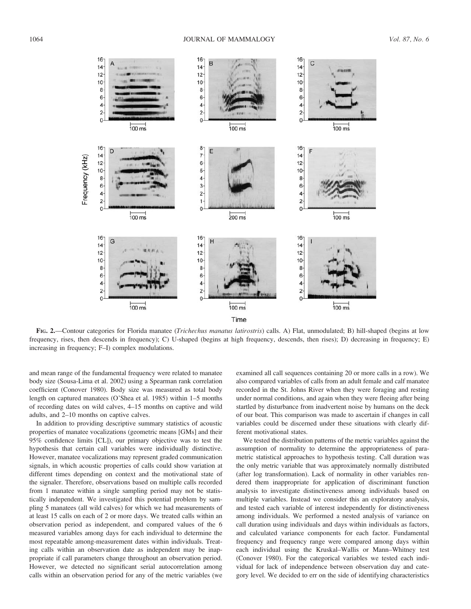

FIG. 2.—Contour categories for Florida manatee (Trichechus manatus latirostris) calls. A) Flat, unmodulated; B) hill-shaped (begins at low frequency, rises, then descends in frequency); C) U-shaped (begins at high frequency, descends, then rises); D) decreasing in frequency; E) increasing in frequency; F–I) complex modulations.

and mean range of the fundamental frequency were related to manatee body size (Sousa-Lima et al. 2002) using a Spearman rank correlation coefficient (Conover 1980). Body size was measured as total body length on captured manatees (O'Shea et al. 1985) within 1–5 months of recording dates on wild calves, 4–15 months on captive and wild adults, and 2–10 months on captive calves.

In addition to providing descriptive summary statistics of acoustic properties of manatee vocalizations (geometric means [GMs] and their 95% confidence limits [CL]), our primary objective was to test the hypothesis that certain call variables were individually distinctive. However, manatee vocalizations may represent graded communication signals, in which acoustic properties of calls could show variation at different times depending on context and the motivational state of the signaler. Therefore, observations based on multiple calls recorded from 1 manatee within a single sampling period may not be statistically independent. We investigated this potential problem by sampling 5 manatees (all wild calves) for which we had measurements of at least 15 calls on each of 2 or more days. We treated calls within an observation period as independent, and compared values of the 6 measured variables among days for each individual to determine the most repeatable among-measurement dates within individuals. Treating calls within an observation date as independent may be inappropriate if call parameters change throughout an observation period. However, we detected no significant serial autocorrelation among calls within an observation period for any of the metric variables (we

examined all call sequences containing 20 or more calls in a row). We also compared variables of calls from an adult female and calf manatee recorded in the St. Johns River when they were foraging and resting under normal conditions, and again when they were fleeing after being startled by disturbance from inadvertent noise by humans on the deck of our boat. This comparison was made to ascertain if changes in call variables could be discerned under these situations with clearly different motivational states.

We tested the distribution patterns of the metric variables against the assumption of normality to determine the appropriateness of parametric statistical approaches to hypothesis testing. Call duration was the only metric variable that was approximately normally distributed (after log transformation). Lack of normality in other variables rendered them inappropriate for application of discriminant function analysis to investigate distinctiveness among individuals based on multiple variables. Instead we consider this an exploratory analysis, and tested each variable of interest independently for distinctiveness among individuals. We performed a nested analysis of variance on call duration using individuals and days within individuals as factors, and calculated variance components for each factor. Fundamental frequency and frequency range were compared among days within each individual using the Kruskal–Wallis or Mann–Whitney test (Conover 1980). For the categorical variables we tested each individual for lack of independence between observation day and category level. We decided to err on the side of identifying characteristics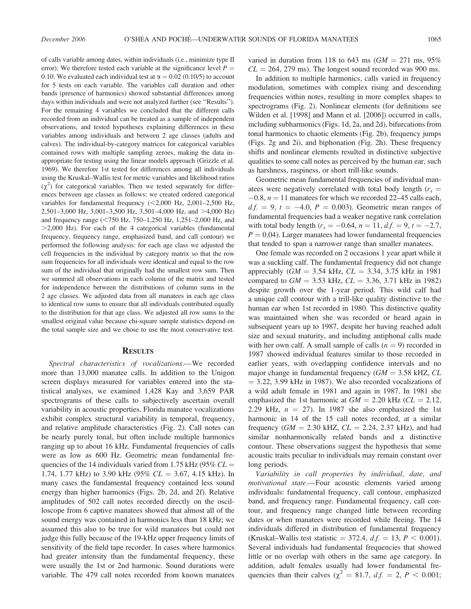of calls variable among dates, within individuals (i.e., minimize type II error). We therefore tested each variable at the significance level  $P =$ 0.10. We evaluated each individual test at  $\alpha = 0.02$  (0.10/5) to account for 5 tests on each variable. The variables call duration and other bands (presence of harmonics) showed substantial differences among days within individuals and were not analyzed further (see ''Results''). For the remaining 4 variables we concluded that the different calls recorded from an individual can be treated as a sample of independent observations, and tested hypotheses explaining differences in these variables among individuals and between 2 age classes (adults and calves). The individual-by-category matrices for categorical variables contained rows with multiple sampling zeroes, making the data inappropriate for testing using the linear models approach (Grizzle et al. 1969). We therefore 1st tested for differences among all individuals using the Kruskal–Wallis test for metric variables and likelihood ratios  $(\chi^2)$  for categorical variables. Then we tested separately for differences between age classes as follows: we created ordered categorical variables for fundamental frequency  $(<2,000$  Hz,  $2,001-2,500$  Hz, 2,501–3,000 Hz, 3,001–3,500 Hz, 3,501–4,000 Hz, and >4,000 Hz) and frequency range (<750 Hz, 750-1,250 Hz, 1,251-2,000 Hz, and  $>2,000$  Hz). For each of the 4 categorical variables (fundamental frequency, frequency range, emphasized band, and call contour) we performed the following analysis: for each age class we adjusted the cell frequencies in the individual by category matrix so that the row sum frequencies for all individuals were identical and equal to the row sum of the individual that originally had the smallest row sum. Then we summed all observations in each column of the matrix and tested for independence between the distributions of column sums in the 2 age classes. We adjusted data from all manatees in each age class to identical row sums to ensure that all individuals contributed equally to the distribution for that age class. We adjusted all row sums to the smallest original value because chi-square sample statistics depend on the total sample size and we chose to use the most conservative test.

### **RESULTS**

Spectral characteristics of vocalizations.—We recorded more than 13,000 manatee calls. In addition to the Unigon screen displays measured for variables entered into the statistical analyses, we examined 1,428 Kay and 3,659 PAR spectrograms of these calls to subjectively ascertain overall variability in acoustic properties. Florida manatee vocalizations exhibit complex structural variability in temporal, frequency, and relative amplitude characteristics (Fig. 2). Call notes can be nearly purely tonal, but often include multiple harmonics ranging up to about 16 kHz. Fundamental frequencies of calls were as low as 600 Hz. Geometric mean fundamental frequencies of the 14 individuals varied from 1.75 kHz (95%  $CL =$ 1.74, 1.77 kHz) to 3.90 kHz (95%  $CL = 3.67$ , 4.15 kHz). In many cases the fundamental frequency contained less sound energy than higher harmonics (Figs. 2b, 2d, and 2f). Relative amplitudes of 502 call notes recorded directly on the oscilloscope from 6 captive manatees showed that almost all of the sound energy was contained in harmonics less than 18 kHz; we assumed this also to be true for wild manatees but could not judge this fully because of the 19-kHz upper frequency limits of sensitivity of the field tape recorder. In cases where harmonics had greater intensity than the fundamental frequency, these were usually the 1st or 2nd harmonic. Sound durations were variable. The 479 call notes recorded from known manatees

varied in duration from 118 to 643 ms  $(GM = 271 \text{ ms}, 95\%)$  $CL = 264$ , 279 ms). The longest sound recorded was 900 ms.

In addition to multiple harmonics, calls varied in frequency modulation, sometimes with complex rising and descending frequencies within notes, resulting in more complex shapes to spectrograms (Fig. 2). Nonlinear elements (for definitions see Wilden et al. [1998] and Mann et al. [2006]) occurred in calls, including subharmonics (Figs. 1d, 2a, and 2d), bifurcations from tonal harmonics to chaotic elements (Fig. 2b), frequency jumps (Figs. 2g and 2i), and biphonation (Fig. 2h). These frequency shifts and nonlinear elements resulted in distinctive subjective qualities to some call notes as perceived by the human ear, such as harshness, raspiness, or short trill-like sounds.

Geometric mean fundamental frequencies of individual manatees were negatively correlated with total body length ( $r_s$  =  $-0.8$ ,  $n = 11$  manatees for which we recorded 22–45 calls each,  $df. = 9, t = -4.0, P = 0.003$ . Geometric mean ranges of fundamental frequencies had a weaker negative rank correlation with total body length ( $r_s = -0.64$ ,  $n = 11$ ,  $df = 9$ ,  $t = -2.7$ ,  $P = 0.04$ ). Larger manatees had lower fundamental frequencies that tended to span a narrower range than smaller manatees.

One female was recorded on 2 occasions 1 year apart while it was a suckling calf. The fundamental frequency did not change appreciably  $GM = 3.54 \text{ kHz}$ ,  $CL = 3.34, 3.75 \text{ kHz}$  in 1981 compared to  $GM = 3.53$  kHz,  $CL = 3.36, 3.71$  kHz in 1982) despite growth over the 1-year period. This wild calf had a unique call contour with a trill-like quality distinctive to the human ear when 1st recorded in 1980. This distinctive quality was maintained when she was recorded or heard again in subsequent years up to 1987, despite her having reached adult size and sexual maturity, and including antiphonal calls made with her own calf. A small sample of calls  $(n = 9)$  recorded in 1987 showed individual features similar to those recorded in earlier years, with overlapping confidence intervals and no major change in fundamental frequency  $(GM = 3.58 \text{ kHz}, CL)$  $=$  3.22, 3.99 kHz in 1987). We also recorded vocalizations of a wild adult female in 1981 and again in 1987. In 1981 she emphasized the 1st harmonic at  $GM = 2.20$  kHz ( $CL = 2.12$ , 2.29 kHz,  $n = 27$ ). In 1987 she also emphasized the 1st harmonic in 14 of the 15 call notes recorded, at a similar frequency  $(GM = 2.30 \text{ kHz}, CL = 2.24, 2.37 \text{ kHz})$ , and had similar nonharmonically related bands and a distinctive contour. These observations suggest the hypothesis that some acoustic traits peculiar to individuals may remain constant over long periods.

Variability in call properties by individual, date, and motivational state.—Four acoustic elements varied among individuals: fundamental frequency, call contour, emphasized band, and frequency range. Fundamental frequency, call contour, and frequency range changed little between recording dates or when manatees were recorded while fleeing. The 14 individuals differed in distribution of fundamental frequency (Kruskal–Wallis test statistic  $=$  372.4,  $df = 13, P \le 0.001$ ). Several individuals had fundamental frequencies that showed little or no overlap with others in the same age category. In addition, adult females usually had lower fundamental frequencies than their calves ( $\chi^2 = 81.7$ ,  $df = 2$ ,  $P < 0.001$ ;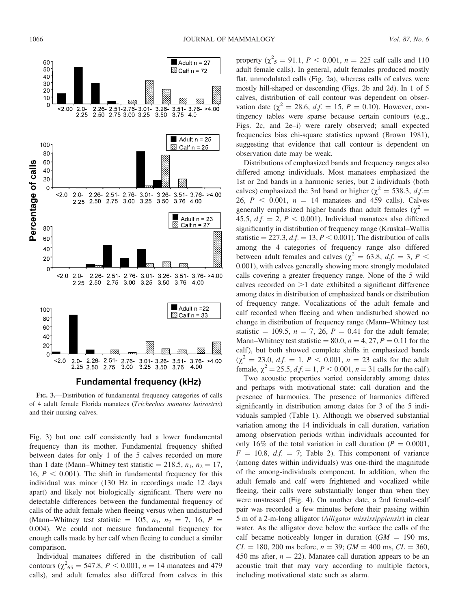

**Fundamental frequency (kHz)** 

FIG. 3.—Distribution of fundamental frequency categories of calls of 4 adult female Florida manatees (Trichechus manatus latirostris) and their nursing calves.

Fig. 3) but one calf consistently had a lower fundamental frequency than its mother. Fundamental frequency shifted between dates for only 1 of the 5 calves recorded on more than 1 date (Mann–Whitney test statistic  $=$  218.5,  $n_1$ ,  $n_2$  = 17, 16,  $P < 0.001$ ). The shift in fundamental frequency for this individual was minor (130 Hz in recordings made 12 days apart) and likely not biologically significant. There were no detectable differences between the fundamental frequency of calls of the adult female when fleeing versus when undisturbed (Mann–Whitney test statistic = 105,  $n_1$ ,  $n_2$  = 7, 16, P = 0.004). We could not measure fundamental frequency for enough calls made by her calf when fleeing to conduct a similar comparison.

Individual manatees differed in the distribution of call contours ( $\chi^2_{65} = 547.8, P < 0.001, n = 14$  manatees and 479 calls), and adult females also differed from calves in this

property ( $\chi^2$ <sub>5</sub> = 91.1, P < 0.001, n = 225 calf calls and 110 adult female calls). In general, adult females produced mostly flat, unmodulated calls (Fig. 2a), whereas calls of calves were mostly hill-shaped or descending (Figs. 2b and 2d). In 1 of 5 calves, distribution of call contour was dependent on observation date ( $\chi^2 = 28.6$ ,  $df = 15$ ,  $P = 0.10$ ). However, contingency tables were sparse because certain contours (e.g., Figs. 2c, and 2e–i) were rarely observed; small expected frequencies bias chi-square statistics upward (Brown 1981), suggesting that evidence that call contour is dependent on observation date may be weak.

Distributions of emphasized bands and frequency ranges also differed among individuals. Most manatees emphasized the 1st or 2nd bands in a harmonic series, but 2 individuals (both calves) emphasized the 3rd band or higher ( $\chi^2 = 538.3$ , d.f.= 26,  $P < 0.001$ ,  $n = 14$  manatees and 459 calls). Calves generally emphasized higher bands than adult females ( $\chi^2$  = 45.5,  $d.f. = 2$ ,  $P < 0.001$ ). Individual manatees also differed significantly in distribution of frequency range (Kruskal–Wallis statistic = 227.3,  $df = 13$ ,  $P < 0.001$ ). The distribution of calls among the 4 categories of frequency range also differed between adult females and calves ( $\chi^2 = 63.8$ , d.f. = 3, P < 0.001), with calves generally showing more strongly modulated calls covering a greater frequency range. None of the 5 wild calves recorded on  $>1$  date exhibited a significant difference among dates in distribution of emphasized bands or distribution of frequency range. Vocalizations of the adult female and calf recorded when fleeing and when undisturbed showed no change in distribution of frequency range (Mann–Whitney test statistic = 109.5,  $n = 7, 26, P = 0.41$  for the adult female; Mann–Whitney test statistic  $= 80.0$ ,  $n = 4$ , 27,  $P = 0.11$  for the calf), but both showed complete shifts in emphasized bands  $(\chi^2 = 23.0, df. = 1, P < 0.001, n = 23$  calls for the adult female,  $\chi^2 = 25.5$ ,  $df = 1$ ,  $P < 0.001$ ,  $n = 31$  calls for the calf).

Two acoustic properties varied considerably among dates and perhaps with motivational state: call duration and the presence of harmonics. The presence of harmonics differed significantly in distribution among dates for 3 of the 5 individuals sampled (Table 1). Although we observed substantial variation among the 14 individuals in call duration, variation among observation periods within individuals accounted for only 16% of the total variation in call duration ( $P = 0.0001$ ,  $F = 10.8$ ,  $df = 7$ ; Table 2). This component of variance (among dates within individuals) was one-third the magnitude of the among-individuals component. In addition, when the adult female and calf were frightened and vocalized while fleeing, their calls were substantially longer than when they were unstressed (Fig. 4). On another date, a 2nd female–calf pair was recorded a few minutes before their passing within 5 m of a 2-m-long alligator (Alligator mississippiensis) in clear water. As the alligator dove below the surface the calls of the calf became noticeably longer in duration  $(GM = 190 \text{ ms})$ ,  $CL = 180, 200$  ms before,  $n = 39$ ;  $GM = 400$  ms,  $CL = 360$ , 450 ms after,  $n = 22$ ). Manatee call duration appears to be an acoustic trait that may vary according to multiple factors, including motivational state such as alarm.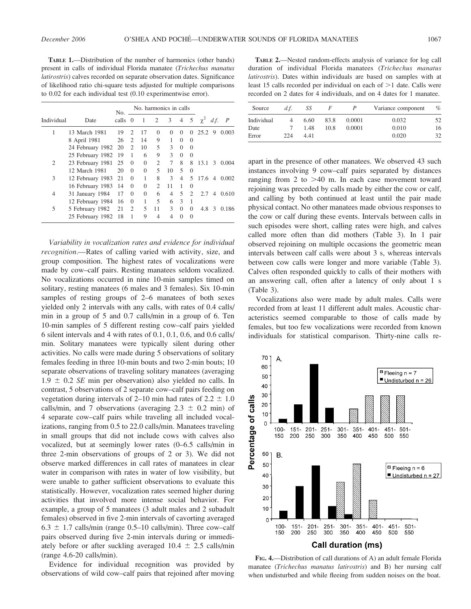TABLE 1.—Distribution of the number of harmonics (other bands) present in calls of individual Florida manatee (Trichechus manatus latirostris) calves recorded on separate observation dates. Significance of likelihood ratio chi-square tests adjusted for multiple comparisons to 0.02 for each individual test (0.10 experimentwise error).

|            |                     | No.   |                | No. harmonics in calls |                |               |          |                  |               |   |       |
|------------|---------------------|-------|----------------|------------------------|----------------|---------------|----------|------------------|---------------|---|-------|
| Individual | Date                | calls | $\theta$       | 1                      | 2              | 3             | 4        | 5                | $\chi^2$ d.f. |   | P     |
| 1          | 13 March 1981       | 19    | 2              | 17                     | $\Omega$       | $\Omega$      | $\Omega$ | $\left( \right)$ | 25.2          | 9 | 0.003 |
|            | 8 April 1981        | 26    | 2              | 14                     | 9              | 1             | $\Omega$ | $\Omega$         |               |   |       |
|            | 24 February 1982    | 20    | 2              | 10                     | 5              | $\mathcal{F}$ | $\Omega$ | $\Omega$         |               |   |       |
|            | 25 February 1982    | -19   | 1              | 6                      | 9              | 3             | $\Omega$ | $\Omega$         |               |   |       |
| 2          | 23 February 1981    | 25    | $\Omega$       | $\Omega$               | $\overline{c}$ | 7             | 8        | 8                | 13.1          | 3 | 0.004 |
|            | 12 March 1981       | 20    | $\Omega$       | $\Omega$               | $\overline{5}$ | 10            | 5        | $\Omega$         |               |   |       |
| 3          | 12 February 1983    | 21    | $\Omega$       | 1                      | 8              | $\mathcal{R}$ | 4        | 5                | 17.6          | 4 | 0.002 |
|            | 16 February 1983    | 14    | $\theta$       | $\theta$               | $\overline{c}$ | 11            | 1        | $\Omega$         |               |   |       |
| 4          | 31 January 1984     | 17    | $\Omega$       | $\Omega$               | 6              | 4             | 5        | $\overline{2}$   | 2.7           | 4 | 0.610 |
|            | 12 February 1984    | 16    | $\Omega$       | 1                      | 5              | 6             | 3        | 1                |               |   |       |
| 5          | 5 February 1982     | 21    | $\overline{c}$ | 5                      | 11             | 3             | $\Omega$ | $\Omega$         | 4.8           | 3 | 0.186 |
|            | 25 February 1982 18 |       | 1              | 9                      | 4              | 4             | $\Omega$ | $\Omega$         |               |   |       |

Variability in vocalization rates and evidence for individual recognition.—Rates of calling varied with activity, size, and group composition. The highest rates of vocalizations were made by cow–calf pairs. Resting manatees seldom vocalized. No vocalizations occurred in nine 10-min samples timed on solitary, resting manatees (6 males and 3 females). Six 10-min samples of resting groups of 2–6 manatees of both sexes yielded only 2 intervals with any calls, with rates of 0.4 calls/ min in a group of 5 and 0.7 calls/min in a group of 6. Ten 10-min samples of 5 different resting cow–calf pairs yielded 6 silent intervals and 4 with rates of 0.1, 0.1, 0.6, and 0.6 calls/ min. Solitary manatees were typically silent during other activities. No calls were made during 5 observations of solitary females feeding in three 10-min bouts and two 2-min bouts; 10 separate observations of traveling solitary manatees (averaging  $1.9 \pm 0.2$  SE min per observation) also yielded no calls. In contrast, 5 observations of 2 separate cow–calf pairs feeding on vegetation during intervals of 2–10 min had rates of 2.2  $\pm$  1.0 calls/min, and 7 observations (averaging  $2.3 \pm 0.2$  min) of 4 separate cow–calf pairs while traveling all included vocalizations, ranging from 0.5 to 22.0 calls/min. Manatees traveling in small groups that did not include cows with calves also vocalized, but at seemingly lower rates (0–6.5 calls/min in three 2-min observations of groups of 2 or 3). We did not observe marked differences in call rates of manatees in clear water in comparison with rates in water of low visibility, but were unable to gather sufficient observations to evaluate this statistically. However, vocalization rates seemed higher during activities that involved more intense social behavior. For example, a group of 5 manatees (3 adult males and 2 subadult females) observed in five 2-min intervals of cavorting averaged  $6.3 \pm 1.7$  calls/min (range 0.5–10 calls/min). Three cow–calf pairs observed during five 2-min intervals during or immediately before or after suckling averaged  $10.4 \pm 2.5$  calls/min (range 4.6-20 calls/min).

Evidence for individual recognition was provided by observations of wild cow–calf pairs that rejoined after moving

TABLE 2.—Nested random-effects analysis of variance for log call duration of individual Florida manatees (Trichechus manatus latirostris). Dates within individuals are based on samples with at least 15 calls recorded per individual on each of  $>1$  date. Calls were recorded on 2 dates for 4 individuals, and on 4 dates for 1 manatee.

| Source     | d.f. | SS   | F    |        | Variance component | %  |
|------------|------|------|------|--------|--------------------|----|
| Individual |      | 6.60 | 83.8 | 0.0001 | 0.032              | 52 |
| Date       |      | 1.48 | 10.8 | 0.0001 | 0.010              | 16 |
| Error      | 224  | 4.41 |      |        | 0.020              | 32 |

apart in the presence of other manatees. We observed 43 such instances involving 9 cow–calf pairs separated by distances ranging from 2 to  $>40$  m. In each case movement toward rejoining was preceded by calls made by either the cow or calf, and calling by both continued at least until the pair made physical contact. No other manatees made obvious responses to the cow or calf during these events. Intervals between calls in such episodes were short, calling rates were high, and calves called more often than did mothers (Table 3). In 1 pair observed rejoining on multiple occasions the geometric mean intervals between calf calls were about 3 s, whereas intervals between cow calls were longer and more variable (Table 3). Calves often responded quickly to calls of their mothers with an answering call, often after a latency of only about 1 s (Table 3).

Vocalizations also were made by adult males. Calls were recorded from at least 11 different adult males. Acoustic characteristics seemed comparable to those of calls made by females, but too few vocalizations were recorded from known individuals for statistical comparison. Thirty-nine calls re-



FIG. 4.—Distribution of call durations of A) an adult female Florida manatee (Trichechus manatus latirostris) and B) her nursing calf when undisturbed and while fleeing from sudden noises on the boat.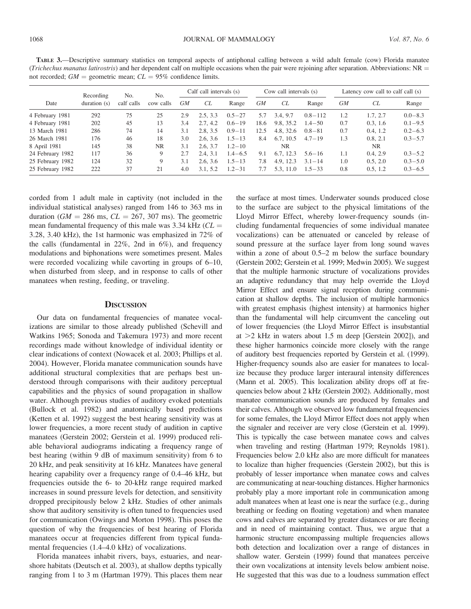1068 JOURNAL OF MAMMALOGY Vol. 87, No. 6

TABLE 3.—Descriptive summary statistics on temporal aspects of antiphonal calling between a wild adult female (cow) Florida manatee (Trichechus manatus latirostris) and her dependent calf on multiple occasions when the pair were rejoining after separation. Abbreviations:  $NR =$ not recorded;  $GM =$  geometric mean;  $CL = 95\%$  confidence limits.

|                  | No.<br>Recording |            | No.       | Calf call intervals (s) |          |             | Cow call intervals (s) |           |             | Latency cow call to calf call (s) |           |             |
|------------------|------------------|------------|-----------|-------------------------|----------|-------------|------------------------|-----------|-------------|-----------------------------------|-----------|-------------|
| Date             | duration (s)     | calf calls | cow calls | GМ                      | CL       | Range       | <b>GM</b>              | CL        | Range       | GМ                                | CL        | Range       |
| 4 February 1981  | 292              | 75         | 25        | 2.9                     | 2.5, 3.3 | $0.5 - 27$  | 5.7                    | 3.4, 9.7  | $0.8 - 112$ | 1.2                               | 1.7, 2.7  | $0.0 - 8.3$ |
| 4 February 1981  | 202              | 45         | 13        | 3.4                     | 2.7.4.2  | $0.6 - 19$  | 18.6                   | 9.8, 35.2 | $1.4 - 50$  | 0.7                               | 0.3, 1.6  | $0.1 - 9.5$ |
| 13 March 1981    | 286              | 74         | 14        | 3.1                     | 2.8.3.5  | $0.9 - 11$  | 12.5                   | 4.8, 32.6 | $0.8 - 81$  | 0.7                               | 0.4, 1.2  | $0.2 - 6.3$ |
| 26 March 1981    | 176              | 46         | 18        | 3.0                     | 2.6, 3.6 | $1.5 - 13$  | 8.4                    | 6.7, 10.5 | $4.7 - 19$  | 1.3                               | 0.8, 2.1  | $0.3 - 5.7$ |
| 8 April 1981     | 145              | 38         | <b>NR</b> | 3.1                     | 2.6, 3.7 | $1.2 - 10$  |                        | NR        |             |                                   | <b>NR</b> |             |
| 24 February 1982 | 117              | 36         | 9         | 2.7                     | 2.4.3.1  | $1.4 - 6.5$ | 9.1                    | 6.7, 12.3 | $5.6 - 16$  | 1.1                               | 0.4, 2.9  | $0.3 - 5.2$ |
| 25 February 1982 | 124              | 32         | 9         | 3.1                     | 2.6, 3.6 | $1.5 - 13$  | 7.8                    | 4.9.12.3  | $3.1 - 14$  | 1.0                               | 0.5, 2.0  | $0.3 - 5.0$ |
| 25 February 1982 | 222              | 37         | 21        | 4.0                     | 3.1.5.2  | $1.2 - 31$  | 7.7                    | 5.3.11.0  | $1.5 - 33$  | 0.8                               | 0.5, 1.2  | $0.3 - 6.5$ |

corded from 1 adult male in captivity (not included in the individual statistical analyses) ranged from 146 to 363 ms in duration ( $GM = 286$  ms,  $CL = 267$ , 307 ms). The geometric mean fundamental frequency of this male was  $3.34$  kHz ( $CL =$ 3.28, 3.40 kHz), the 1st harmonic was emphasized in 72% of the calls (fundamental in 22%, 2nd in 6%), and frequency modulations and biphonations were sometimes present. Males were recorded vocalizing while cavorting in groups of 6–10, when disturbed from sleep, and in response to calls of other manatees when resting, feeding, or traveling.

# **DISCUSSION**

Our data on fundamental frequencies of manatee vocalizations are similar to those already published (Schevill and Watkins 1965; Sonoda and Takemura 1973) and more recent recordings made without knowledge of individual identity or clear indications of context (Nowacek et al. 2003; Phillips et al. 2004). However, Florida manatee communication sounds have additional structural complexities that are perhaps best understood through comparisons with their auditory perceptual capabilities and the physics of sound propagation in shallow water. Although previous studies of auditory evoked potentials (Bullock et al. 1982) and anatomically based predictions (Ketten et al. 1992) suggest the best hearing sensitivity was at lower frequencies, a more recent study of audition in captive manatees (Gerstein 2002; Gerstein et al. 1999) produced reliable behavioral audiograms indicating a frequency range of best hearing (within 9 dB of maximum sensitivity) from 6 to 20 kHz, and peak sensitivity at 16 kHz. Manatees have general hearing capability over a frequency range of 0.4–46 kHz, but frequencies outside the 6- to 20-kHz range required marked increases in sound pressure levels for detection, and sensitivity dropped precipitously below 2 kHz. Studies of other animals show that auditory sensitivity is often tuned to frequencies used for communication (Owings and Morton 1998). This poses the question of why the frequencies of best hearing of Florida manatees occur at frequencies different from typical fundamental frequencies (1.4–4.0 kHz) of vocalizations.

Florida manatees inhabit rivers, bays, estuaries, and nearshore habitats (Deutsch et al. 2003), at shallow depths typically ranging from 1 to 3 m (Hartman 1979). This places them near the surface at most times. Underwater sounds produced close to the surface are subject to the physical limitations of the Lloyd Mirror Effect, whereby lower-frequency sounds (including fundamental frequencies of some individual manatee vocalizations) can be attenuated or canceled by release of sound pressure at the surface layer from long sound waves within a zone of about 0.5–2 m below the surface boundary (Gerstein 2002; Gerstein et al. 1999; Medwin 2005). We suggest that the multiple harmonic structure of vocalizations provides an adaptive redundancy that may help override the Lloyd Mirror Effect and ensure signal reception during communication at shallow depths. The inclusion of multiple harmonics with greatest emphasis (highest intensity) at harmonics higher than the fundamental will help circumvent the canceling out of lower frequencies (the Lloyd Mirror Effect is insubstantial at  $>2$  kHz in waters about 1.5 m deep [Gerstein 2002]), and these higher harmonics coincide more closely with the range of auditory best frequencies reported by Gerstein et al. (1999). Higher-frequency sounds also are easier for manatees to localize because they produce larger interaural intensity differences (Mann et al. 2005). This localization ability drops off at frequencies below about 2 kHz (Gerstein 2002). Additionally, most manatee communication sounds are produced by females and their calves. Although we observed low fundamental frequencies for some females, the Lloyd Mirror Effect does not apply when the signaler and receiver are very close (Gerstein et al. 1999). This is typically the case between manatee cows and calves when traveling and resting (Hartman 1979; Reynolds 1981). Frequencies below 2.0 kHz also are more difficult for manatees to localize than higher frequencies (Gerstein 2002), but this is probably of lesser importance when manatee cows and calves are communicating at near-touching distances. Higher harmonics probably play a more important role in communication among adult manatees when at least one is near the surface (e.g., during breathing or feeding on floating vegetation) and when manatee cows and calves are separated by greater distances or are fleeing and in need of maintaining contact. Thus, we argue that a harmonic structure encompassing multiple frequencies allows both detection and localization over a range of distances in shallow water. Gerstein (1999) found that manatees perceive their own vocalizations at intensity levels below ambient noise. He suggested that this was due to a loudness summation effect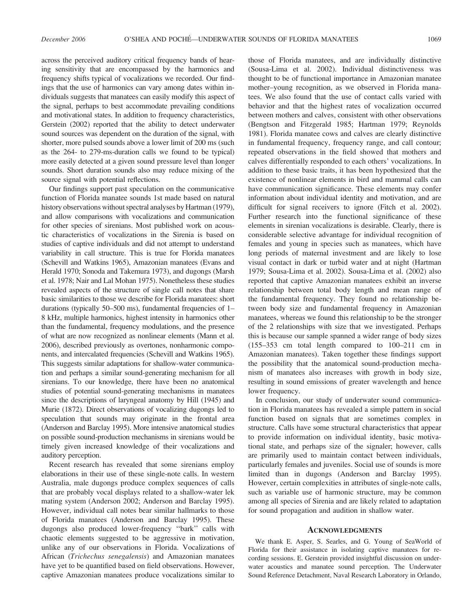across the perceived auditory critical frequency bands of hearing sensitivity that are encompassed by the harmonics and frequency shifts typical of vocalizations we recorded. Our findings that the use of harmonics can vary among dates within individuals suggests that manatees can easily modify this aspect of the signal, perhaps to best accommodate prevailing conditions and motivational states. In addition to frequency characteristics, Gerstein (2002) reported that the ability to detect underwater sound sources was dependent on the duration of the signal, with shorter, more pulsed sounds above a lower limit of 200 ms (such as the 264- to 279-ms-duration calls we found to be typical) more easily detected at a given sound pressure level than longer sounds. Short duration sounds also may reduce mixing of the source signal with potential reflections.

Our findings support past speculation on the communicative function of Florida manatee sounds 1st made based on natural history observations without spectral analyses by Hartman (1979), and allow comparisons with vocalizations and communication for other species of sirenians. Most published work on acoustic characteristics of vocalizations in the Sirenia is based on studies of captive individuals and did not attempt to understand variability in call structure. This is true for Florida manatees (Schevill and Watkins 1965), Amazonian manatees (Evans and Herald 1970; Sonoda and Takemura 1973), and dugongs (Marsh et al. 1978; Nair and Lal Mohan 1975). Nonetheless these studies revealed aspects of the structure of single call notes that share basic similarities to those we describe for Florida manatees: short durations (typically 50–500 ms), fundamental frequencies of 1– 8 kHz, multiple harmonics, highest intensity in harmonics other than the fundamental, frequency modulations, and the presence of what are now recognized as nonlinear elements (Mann et al. 2006), described previously as overtones, nonharmonic components, and intercalated frequencies (Schevill and Watkins 1965). This suggests similar adaptations for shallow-water communication and perhaps a similar sound-generating mechanism for all sirenians. To our knowledge, there have been no anatomical studies of potential sound-generating mechanisms in manatees since the descriptions of laryngeal anatomy by Hill (1945) and Murie (1872). Direct observations of vocalizing dugongs led to speculation that sounds may originate in the frontal area (Anderson and Barclay 1995). More intensive anatomical studies on possible sound-production mechanisms in sirenians would be timely given increased knowledge of their vocalizations and auditory perception.

Recent research has revealed that some sirenians employ elaborations in their use of these single-note calls. In western Australia, male dugongs produce complex sequences of calls that are probably vocal displays related to a shallow-water lek mating system (Anderson 2002; Anderson and Barclay 1995). However, individual call notes bear similar hallmarks to those of Florida manatees (Anderson and Barclay 1995). These dugongs also produced lower-frequency ''bark'' calls with chaotic elements suggested to be aggressive in motivation, unlike any of our observations in Florida. Vocalizations of African (Trichechus senegalensis) and Amazonian manatees have yet to be quantified based on field observations. However, captive Amazonian manatees produce vocalizations similar to those of Florida manatees, and are individually distinctive (Sousa-Lima et al. 2002). Individual distinctiveness was thought to be of functional importance in Amazonian manatee mother–young recognition, as we observed in Florida manatees. We also found that the use of contact calls varied with behavior and that the highest rates of vocalization occurred between mothers and calves, consistent with other observations (Bengtson and Fitzgerald 1985; Hartman 1979; Reynolds 1981). Florida manatee cows and calves are clearly distinctive in fundamental frequency, frequency range, and call contour; repeated observations in the field showed that mothers and calves differentially responded to each others' vocalizations. In addition to these basic traits, it has been hypothesized that the existence of nonlinear elements in bird and mammal calls can have communication significance. These elements may confer information about individual identity and motivation, and are difficult for signal receivers to ignore (Fitch et al. 2002). Further research into the functional significance of these elements in sirenian vocalizations is desirable. Clearly, there is considerable selective advantage for individual recognition of females and young in species such as manatees, which have long periods of maternal investment and are likely to lose visual contact in dark or turbid water and at night (Hartman 1979; Sousa-Lima et al. 2002). Sousa-Lima et al. (2002) also reported that captive Amazonian manatees exhibit an inverse relationship between total body length and mean range of the fundamental frequency. They found no relationship between body size and fundamental frequency in Amazonian manatees, whereas we found this relationship to be the stronger of the 2 relationships with size that we investigated. Perhaps this is because our sample spanned a wider range of body sizes (155–353 cm total length compared to 100–211 cm in Amazonian manatees). Taken together these findings support the possibility that the anatomical sound-production mechanism of manatees also increases with growth in body size, resulting in sound emissions of greater wavelength and hence lower frequency.

In conclusion, our study of underwater sound communication in Florida manatees has revealed a simple pattern in social function based on signals that are sometimes complex in structure. Calls have some structural characteristics that appear to provide information on individual identity, basic motivational state, and perhaps size of the signaler; however, calls are primarily used to maintain contact between individuals, particularly females and juveniles. Social use of sounds is more limited than in dugongs (Anderson and Barclay 1995). However, certain complexities in attributes of single-note calls, such as variable use of harmonic structure, may be common among all species of Sirenia and are likely related to adaptation for sound propagation and audition in shallow water.

#### **ACKNOWLEDGMENTS**

We thank E. Asper, S. Searles, and G. Young of SeaWorld of Florida for their assistance in isolating captive manatees for recording sessions. E. Gerstein provided insightful discussion on underwater acoustics and manatee sound perception. The Underwater Sound Reference Detachment, Naval Research Laboratory in Orlando,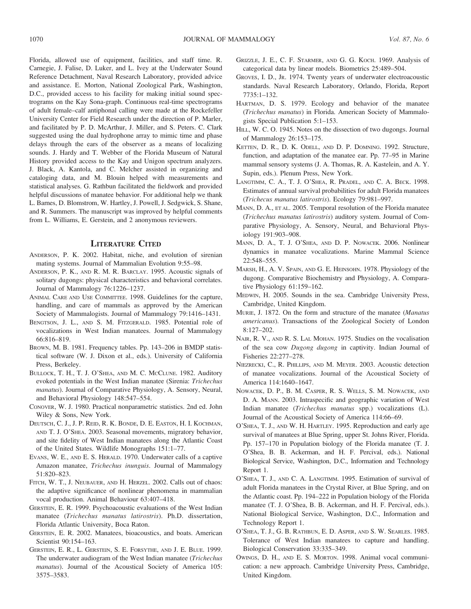Florida, allowed use of equipment, facilities, and staff time. R. Carnegie, J. Falise, D. Luker, and L. Ivey at the Underwater Sound Reference Detachment, Naval Research Laboratory, provided advice and assistance. E. Morton, National Zoological Park, Washington, D.C., provided access to his facility for making initial sound spectrograms on the Kay Sona-graph. Continuous real-time spectrograms of adult female–calf antiphonal calling were made at the Rockefeller University Center for Field Research under the direction of P. Marler, and facilitated by P. D. McArthur, J. Miller, and S. Peters. C. Clark suggested using the dual hydrophone array to mimic time and phase delays through the ears of the observer as a means of localizing sounds. J. Hardy and T. Webber of the Florida Museum of Natural History provided access to the Kay and Unigon spectrum analyzers. J. Black, A. Kantola, and C. Melcher assisted in organizing and cataloging data, and M. Blouin helped with measurements and statistical analyses. G. Rathbun facilitated the fieldwork and provided helpful discussions of manatee behavior. For additional help we thank L. Barnes, D. Blomstrom, W. Hartley, J. Powell, J. Sedgwick, S. Shane, and R. Summers. The manuscript was improved by helpful comments from L. Williams, E. Gerstein, and 2 anonymous reviewers.

## LITERATURE CITED

- ANDERSON, P. K. 2002. Habitat, niche, and evolution of sirenian mating systems. Journal of Mammalian Evolution 9:55–98.
- ANDERSON, P. K., AND R. M. R. BARCLAY. 1995. Acoustic signals of solitary dugongs: physical characteristics and behavioral correlates. Journal of Mammalogy 76:1226–1237.
- ANIMAL CARE AND USE COMMITTEE. 1998. Guidelines for the capture, handling, and care of mammals as approved by the American Society of Mammalogists. Journal of Mammalogy 79:1416–1431.
- BENGTSON, J. L., AND S. M. FITZGERALD. 1985. Potential role of vocalizations in West Indian manatees. Journal of Mammalogy 66:816–819.
- BROWN, M. B. 1981. Frequency tables. Pp. 143–206 in BMDP statistical software (W. J. Dixon et al., eds.). University of California Press, Berkeley.
- BULLOCK, T. H., T. J. O'SHEA, AND M. C. MCCLUNE. 1982. Auditory evoked potentials in the West Indian manatee (Sirenia: Trichechus manatus). Journal of Comparative Physiology, A. Sensory, Neural, and Behavioral Physiology 148:547–554.
- CONOVER, W. J. 1980. Practical nonparametric statistics. 2nd ed. John Wiley & Sons, New York.
- DEUTSCH, C. J., J. P. REID, R. K. BONDE, D. E. EASTON, H. I. KOCHMAN, AND T. J. O'SHEA. 2003. Seasonal movements, migratory behavior, and site fidelity of West Indian manatees along the Atlantic Coast of the United States. Wildlife Monographs 151:1–77.
- EVANS, W. E., AND E. S. HERALD. 1970. Underwater calls of a captive Amazon manatee, Trichechus inunguis. Journal of Mammalogy 51:820–823.
- FITCH, W. T., J. NEUBAUER, AND H. HERZEL. 2002. Calls out of chaos: the adaptive significance of nonlinear phenomena in mammalian vocal production. Animal Behaviour 63:407–418.
- GERSTEIN, E. R. 1999. Psychoacoustic evaluations of the West Indian manatee (Trichechus manatus latirostris). Ph.D. dissertation, Florida Atlantic University, Boca Raton.
- GERSTEIN, E. R. 2002. Manatees, bioacoustics, and boats. American Scientist 90:154–163.
- GERSTEIN, E. R., L. GERSTEIN, S. E. FORSYTHE, AND J. E. BLUE. 1999. The underwater audiogram of the West Indian manatee (Trichechus manatus). Journal of the Acoustical Society of America 105: 3575–3583.
- GRIZZLE, J. E., C. F. STARMER, AND G. G. KOCH. 1969. Analysis of categorical data by linear models. Biometrics 25:489–504.
- GROVES, I. D., JR. 1974. Twenty years of underwater electroacoustic standards. Naval Research Laboratory, Orlando, Florida, Report 7735:1–132.
- HARTMAN, D. S. 1979. Ecology and behavior of the manatee (Trichechus manatus) in Florida. American Society of Mammalogists Special Publication 5:1–153.
- HILL, W. C. O. 1945. Notes on the dissection of two dugongs. Journal of Mammalogy 26:153–175.
- KETTEN, D. R., D. K. ODELL, AND D. P. DOMNING. 1992. Structure, function, and adaptation of the manatee ear. Pp. 77–95 in Marine mammal sensory systems (J. A. Thomas, R. A. Kastelein, and A. Y. Supin, eds.). Plenum Press, New York.
- LANGTIMM, C. A., T. J. O'SHEA, R. PRADEL, AND C. A. BECK. 1998. Estimates of annual survival probabilities for adult Florida manatees (Trichecus manatus latirostris). Ecology 79:981–997.
- MANN, D. A., ET AL. 2005. Temporal resolution of the Florida manatee (Trichechus manatus latirostris) auditory system. Journal of Comparative Physiology, A. Sensory, Neural, and Behavioral Physiology 191:903–908.
- MANN, D. A., T. J. O'SHEA, AND D. P. NOWACEK. 2006. Nonlinear dynamics in manatee vocalizations. Marine Mammal Science 22:548–555.
- MARSH, H., A. V. SPAIN, AND G. E. HEINSOHN. 1978. Physiology of the dugong. Comparative Biochemistry and Physiology, A. Comparative Physiology 61:159–162.
- MEDWIN, H. 2005. Sounds in the sea. Cambridge University Press, Cambridge, United Kingdom.
- MURIE, J. 1872. On the form and structure of the manatee (Manatus americanus). Transactions of the Zoological Society of London 8:127–202.
- NAIR, R. V., AND R. S. LAL MOHAN. 1975. Studies on the vocalisation of the sea cow Dugong dugong in captivity. Indian Journal of Fisheries 22:277–278.
- NIEZRECKI, C., R. PHILLIPS, AND M. MEYER. 2003. Acoustic detection of manatee vocalizations. Journal of the Acoustical Society of America 114:1640–1647.
- NOWACEK, D. P., B. M. CASPER, R. S. WELLS, S. M. NOWACEK, AND D. A. MANN. 2003. Intraspecific and geographic variation of West Indian manatee (Trichechus manatus spp.) vocalizations (L). Journal of the Acoustical Society of America 114:66–69.
- O'SHEA, T. J., AND W. H. HARTLEY. 1995. Reproduction and early age survival of manatees at Blue Spring, upper St. Johns River, Florida. Pp. 157–170 in Population biology of the Florida manatee (T. J. O'Shea, B. B. Ackerman, and H. F. Percival, eds.). National Biological Service, Washington, D.C., Information and Technology Report 1.
- O'SHEA, T. J., AND C. A. LANGTIMM. 1995. Estimation of survival of adult Florida manatees in the Crystal River, at Blue Spring, and on the Atlantic coast. Pp. 194–222 in Population biology of the Florida manatee (T. J. O'Shea, B. B. Ackerman, and H. F. Percival, eds.). National Biological Service, Washington, D.C., Information and Technology Report 1.
- O'SHEA, T. J., G. B. RATHBUN, E. D. ASPER, AND S. W. SEARLES. 1985. Tolerance of West Indian manatees to capture and handling. Biological Conservation 33:335–349.
- OWINGS, D. H., AND E. S. MORTON. 1998. Animal vocal communication: a new approach. Cambridge University Press, Cambridge, United Kingdom.